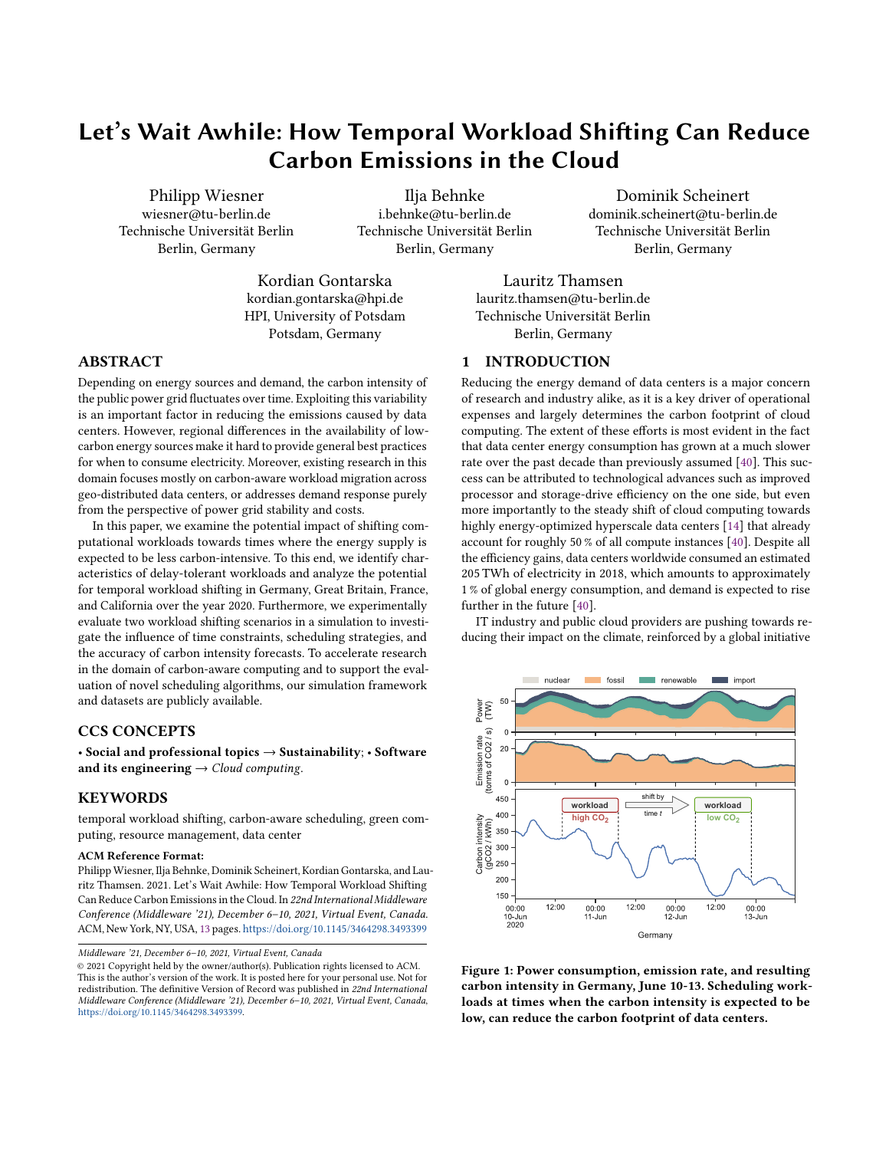# Let's Wait Awhile: How Temporal Workload Shifting Can Reduce Carbon Emissions in the Cloud

Philipp Wiesner wiesner@tu-berlin.de Technische Universität Berlin Berlin, Germany

Ilja Behnke i.behnke@tu-berlin.de Technische Universität Berlin Berlin, Germany

Dominik Scheinert dominik.scheinert@tu-berlin.de Technische Universität Berlin Berlin, Germany

Kordian Gontarska kordian.gontarska@hpi.de HPI, University of Potsdam Potsdam, Germany

Lauritz Thamsen lauritz.thamsen@tu-berlin.de Technische Universität Berlin Berlin, Germany

# 1 INTRODUCTION

Reducing the energy demand of data centers is a major concern of research and industry alike, as it is a key driver of operational expenses and largely determines the carbon footprint of cloud computing. The extent of these efforts is most evident in the fact that data center energy consumption has grown at a much slower rate over the past decade than previously assumed [40]. This success can be attributed to technological advances such as improved processor and storage-drive efficiency on the one side, but even more importantly to the steady shift of cloud computing towards highly energy-optimized hyperscale data centers [14] that already account for roughly 50 % of all compute instances [40]. Despite all the efficiency gains, data centers worldwide consumed an estimated 205 TWh of electricity in 2018, which amounts to approximately 1 % of global energy consumption, and demand is expected to rise further in the future [40].

IT industry and public cloud providers are pushing towards reducing their impact on the climate, reinforced by a global initiative



Figure 1: Power consumption, emission rate, and resulting carbon intensity in Germany, June 10-13. Scheduling workloads at times when the carbon intensity is expected to be low, can reduce the carbon footprint of data centers.

#### ABSTRACT

Depending on energy sources and demand, the carbon intensity of the public power grid fluctuates over time. Exploiting this variability is an important factor in reducing the emissions caused by data centers. However, regional differences in the availability of lowcarbon energy sources make it hard to provide general best practices for when to consume electricity. Moreover, existing research in this domain focuses mostly on carbon-aware workload migration across geo-distributed data centers, or addresses demand response purely from the perspective of power grid stability and costs.

In this paper, we examine the potential impact of shifting computational workloads towards times where the energy supply is expected to be less carbon-intensive. To this end, we identify characteristics of delay-tolerant workloads and analyze the potential for temporal workload shifting in Germany, Great Britain, France, and California over the year 2020. Furthermore, we experimentally evaluate two workload shifting scenarios in a simulation to investigate the influence of time constraints, scheduling strategies, and the accuracy of carbon intensity forecasts. To accelerate research in the domain of carbon-aware computing and to support the evaluation of novel scheduling algorithms, our simulation framework and datasets are publicly available.

# CCS CONCEPTS

• Social and professional topics → Sustainability; • Software and its engineering  $\rightarrow$  Cloud computing.

# **KEYWORDS**

temporal workload shifting, carbon-aware scheduling, green computing, resource management, data center

#### ACM Reference Format:

Philipp Wiesner, Ilja Behnke, Dominik Scheinert, Kordian Gontarska, and Lauritz Thamsen. 2021. Let's Wait Awhile: How Temporal Workload Shifting Can Reduce Carbon Emissions in the Cloud. In 22nd International Middleware Conference (Middleware '21), December 6–10, 2021, Virtual Event, Canada. ACM, New York, NY, USA, 13 pages. <https://doi.org/10.1145/3464298.3493399>

Middleware '21, December 6–10, 2021, Virtual Event, Canada

<sup>©</sup> 2021 Copyright held by the owner/author(s). Publication rights licensed to ACM. This is the author's version of the work. It is posted here for your personal use. Not for redistribution. The definitive Version of Record was published in 22nd International Middleware Conference (Middleware '21), December 6–10, 2021, Virtual Event, Canada, [https://doi.org/10.1145/3464298.3493399.](https://doi.org/10.1145/3464298.3493399)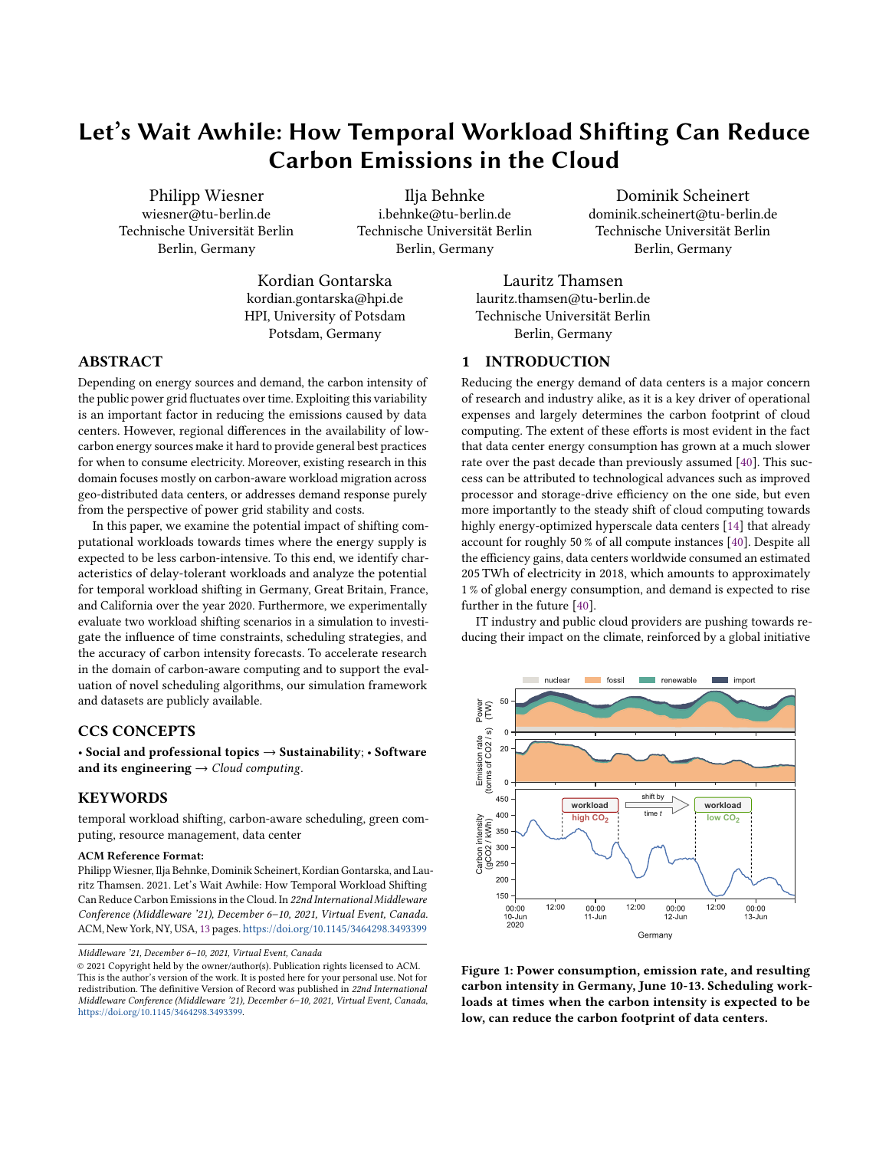to implement carbon pricing mechanisms, such as emission trading systems (ETS) or carbon taxes [4]. However, when targeting the carbon footprint of data centers, not only the amount of energy consumed is important, but also the energy sources. For example, Google plans to operate their data centers solely on carbon-free energy by 2030 [44]. This commitment is much more extensive than what other companies tout as "carbon-free", which often only involves purchasing green power and offsetting their emissions. True carbon-free operation, on the other hand, is very hard to achieve: Given the variable nature of many renewable energy sources, such as solar and wind, operators must not only invest in energy storage systems, but also manage their demand adaptively to consume energy when and where it is emitting the least  $CO<sub>2</sub><sup>1</sup>$ .

Energy sources used for electricity production vary highly in different regions, at different seasons, and at different hours of the day. This variability depends on many factors, such as weather and climate, the installed capacity of different energy sources in a region, as well as energy imports from neighboring regions. The goal of this paper is to investigate the potential impact of shifting delay-tolerant data center workloads towards times where the grid is expected to provide clean energy, as exemplary illustrated in Figure 1. To clearly state the boundaries of our research we note that

- the aim of this work is not to save energy but to consume energy at times, where it is generated by low-carbon sources.
- we aim at exploiting the fluctuation of carbon intensity in the public power grid and do not address the integration of local power generation that provides the data center with its own energy.
- we observe the potential of rescheduling on the time dimension. We do not consider any forms of load migration between geo-distributed data centers.

Although temporal workload shifting is already finding its way to production environments [47], existing work in the domain of carbon-aware scheduling mostly focuses on either the integration of renewable on-site or off-site installations [2, 3, 17, 20, 21, 34, 36, 36, 64, 67] or on geo-distributed load migration [41, 65, 66]. Research in the domain of data center demand management, which often utilizes load-shifting techniques, does not consider the caused carbon emissions but only addresses grid stability and energy prices [5, 13, 31, 37]. The practicability of temporal load-shifting with the goal to consume cleaner energy from the public power grid has only recently been demonstrated by Google's Carbon-Intelligent Computing System [48] (CICS). However, there does not yet exist any publicly available insights on the potential and theoretical limitations of this approach.

Addressing this gap, we make the following contributions:

- we identify and categorize different characteristics of timeshiftable workloads in data centers.
- we define a methodology for estimating the regional carbon intensity of the public power grid using electricity production and inter-regional power flow data.
- we analyze the carbon-saving potential of temporal workload shifting in four regions, namely Germany, Great Britain, France, and California.
- we experimentally evaluate two scenarios via simulation, examining the impact of time constraints, scheduling strategies, and the accuracy of forecasts.
- we make all data sets and code used for the analysis and experiments of this paper publicly available<sup>2</sup>.

The remainder of this paper is structured as follows. Section 2 discusses different characteristics of time-shiftable workloads. Section 3 explains our methodology for the following analysis and evaluation. Section 4 analyzes the theoretical potential for temporal workload shifting in four different regions. Section 5 experimentally evaluates two selected workload shifting scenarios via simulation. Section 6 reviews the related work. Section 7 concludes the paper.

# 2 SHIFTABLE WORKLOADS

The most important properties for determining a workload's shifting potential are its time constraints. While many workloads are expected to be finished as soon as possible, others may be subject to a degree of flexibility. However, there are further properties, such as duration, execution time, and interruptibility, can have a substantial impact on whether and how a workload can be shifted in time. This section categorizes workloads based on these characteristics. The characteristics are experimentally evaluated regarding their impact in Section 5. The terms workload and job are used interchangeably in this and the following sections.

#### 2.1 Duration

While there is no consistent terminology, analyses of large cluster traces [24, 39, 49, 56] broadly categorize workloads into shortrunning, long-running, and continuously running.

2.1.1 Short-Running Workloads. Workloads executed in data centers are predominantly short-running. An analysis has shown, that the majority of jobs in the Google cluster traces of 2011 last only a few minutes [49]. Similar findings were made on Alibaba cluster traces, where more than 90 % of batch jobs run less than 15 minutes [39], and are more likely to be deferred or evicted due to low priority levels [24]. The shifting potential of such workloads highly depends on their time constraints. Most short-running workloads, such as Function-as-a-Service (FaaS) executions [52] or CI/CD runs [25], are expected to be finished in a timely manner. Even when delays of a few hours are tolerable, the expected potential for shifting is comparably small, as carbon intensity usually does not change quickly in large electrical grids. However, some batch jobs, such as nightly backups, may be accompanied by service-level agreements (SLAs) that allow for greater flexibility regarding the execution time. In these cases, the relative shifting potential is very high since

<sup>&</sup>lt;sup>1</sup> Albeit being the most prominent source of global warming, carbon dioxide  $(CO_2)$ is not the only gas responsible for climate change. Hence, to provide a common scale for describing all greenhouse gases, a popular unit of measurement is the so called carbon dioxide equivalent, often abbreviated as  $CO<sub>2</sub>$ eq. For any gas it is defined as the amount of  $CO<sub>2</sub>$  that would be needed to warm the earth equivalently. For simplicity, in this article we refer to  $CO<sub>2</sub>$ eq when talking about  $CO<sub>2</sub>$  or carbon emissions.

<sup>2</sup>Github: <https://github.com/dos-group/lets-wait-awhile>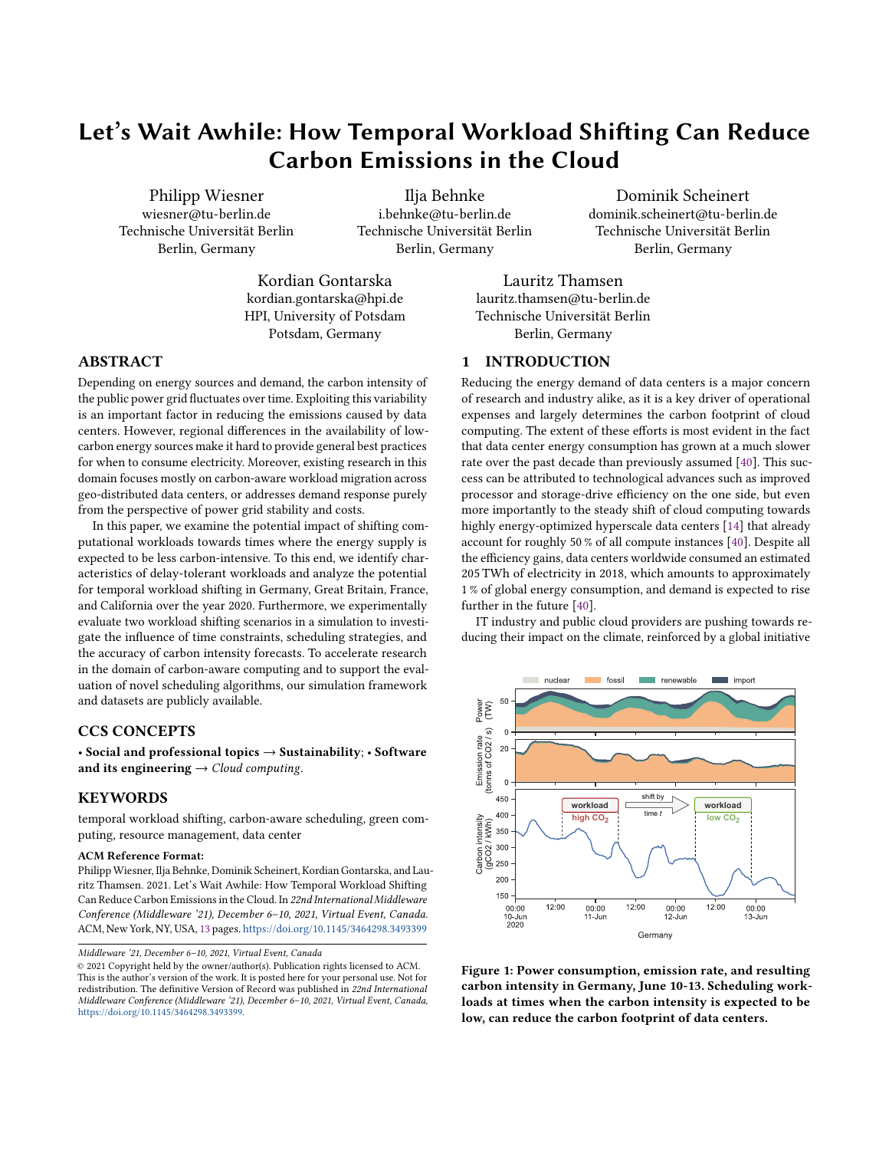Let's Wait Awhile: How Temporal Workload Shifting Can Reduce Carbon Emissions in the Cloud Middleware '21, December 6-10, 2021, Virtual Event, Canada

the entire job can be moved to times of lower carbon intensity, and not only parts of it.

2.1.2 Long-Running Workloads. Analyses of Google cluster traces reveal that while only 7 % of all workloads run at production priority, a majority of these jobs are long-running [49]. Thus, the resource and memory consumption of all jobs entail a heavy-tailed distribution, where a small portion of jobs consumes most of the resources [49, 56]. Moreover, as shown on Alibaba cluster traces, long-running and prioritized workloads are likely to request significantly more resources and memory than they actually utilize [39]. For our paper, we define long-running workloads to have runtimes of up to several days. General examples for such jobs are machine learning trainings, scientific simulations, or big data analysis jobs. These workloads bear a notable absolute shifting potential since they are often very energy-intensive. Moreover, it is often humans that rely on their results to take further action. So, in practice, in many cases it makes no difference whether the issued job is finished in the middle of the night or the following morning. This flexibility can be exploited by shifting workloads without interfering with the user's workflow.

2.1.3 Continuously Running Workloads. Many computational workloads, like user-facing APIs, effectively run indefinitely by design and cannot be interrupted. Apart from these so called continuous services, there exist other computationally intensive workloads such as blockchain mining, protein folding, brute force attacks, or very long-running scientific simulations, that execute over weeks and months, or do not have any defined end date. As an example, 2000 jobs of the Google cluster traces from 2011 run for the entire trace period of 30 days [49].

Although blockchain mining in particular has received great attention for its immense power consumption [32, 35], we do not consider these workloads as shiftable in this paper, as they have no deadline or a deadline very far in the future. This paper only covers workloads up to several days, as real carbon intensity forecasts are based on weather and electricity demand forecasts which also only extend a few days into the future [7, 8, 38].

## 2.2 Execution Time

The expected execution time of a workload and how strictly it should be enforced are important aspects in determining its shifting potential. We therefore elaborate two categories of execution time that are illustrated in Figure 2.

2.2.1 Ad Hoc Workloads. A large number of workloads, short- and long-running, are issued in an ad hoc manner. Although some of them might follow a certain distribution which can be estimated by time series forecasting, it is not known upfront when exactly a specific job will be issued. Examples are again FaaS executions, CI/CD runs, machine learning trainings, and other jobs triggered by external events or issued by users for direct execution. The shifting potential of such workloads is limited to the future. In other words, only once a job is issued the scheduler can decide whether to execute the job immediately, or to postpone it under consideration of its time constrains.



Figure 2: Scheduled workloads can potentially be shifted in both directions of time, while ad hoc workloads can only be deferred into the future.

2.2.2 Scheduled Workloads. We define scheduled workloads to be workloads that are planned to execute at a future point in time. Prominent examples are periodically scheduled batch jobs such as nightly integration test suits, nightly builds, periodic backups, updates of search indices in databases, and auto-generated reports. According to related work, a large number of jobs are recurring at fixed intervals. For example, when comparing the Google cluster traces from 2011 to the traces of 2019, it can be observed that the workload mix changed towards scheduled batch jobs while the scheduling rate increased significantly [56]. At Microsoft, periodic batch jobs have been reported to make up 60 % of processing on large clusters [27]. More than 40 % of these jobs run on a daily basis, while other frequently used periods are fifteen minutes, an hour, and twelve hours. Another study revealed that recurring jobs make up roughly 40 % of the jobs as well as cluster hours on all production clusters used for Microsoft's Bing service [1].

Scheduled workloads can, depending on their time constraints, be shifted in both directions in time. For example, a nightly job which is usually executed periodically at 1 am, could also be scheduled at a more flexible time window between 23 pm and 3 am.

## 2.3 Interruptibility

While certain workloads incorporate checkpoint mechanisms or store intermediate results and can thus be paused and resumed at a later point in time, other workloads must be executed without interruption. As the interruptibility of workloads can be exploited by carbon-aware schedulers as depicted in Figure 3, to better align



Figure 3: Interruptible workloads can be divided into chunks and scheduled separately.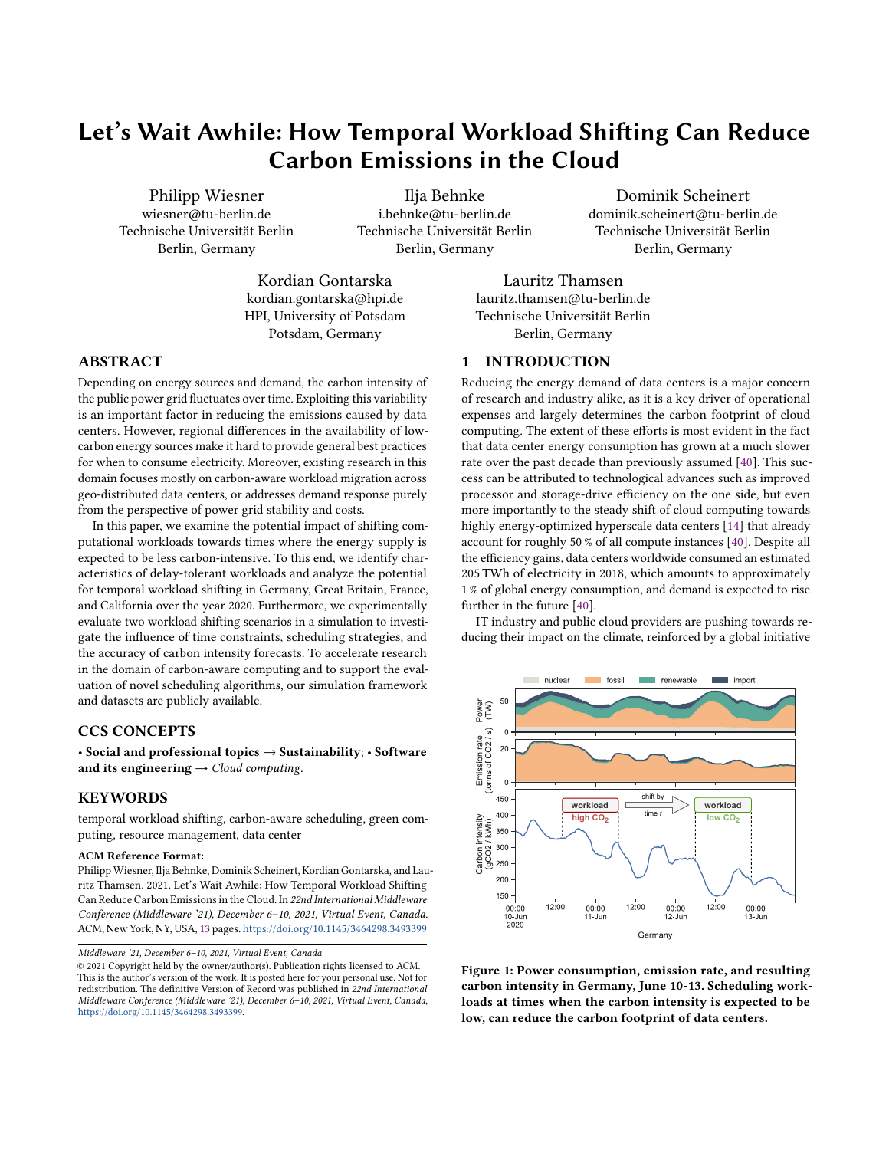| <b>Energy Source</b>     | $\mathbf{r}$ .<br>Biopower | solar<br><b>Energy</b> | Geothermal<br>cnergy | $-$<br>Hydropower | Wina<br>znergy | $\sim$ $\sim$<br>Nuclear<br>Energy | Natural<br>Gas  | Oil | Coal |
|--------------------------|----------------------------|------------------------|----------------------|-------------------|----------------|------------------------------------|-----------------|-----|------|
| gCO <sub>2</sub><br>/kWh | 10<br>⊥∪                   | 40                     | ≖                    |                   | $\sim$<br>∸    |                                    | 46 <sup>c</sup> | 840 | 1001 |

the load to times of low-carbon energy, we categorize workloads according to their interruptibility.

2.3.1 Interruptible Workloads. The possibility of pausing and resuming jobs is frequently seen in long-running workloads. Prominent examples are iterative machine learning trainings or discreteevent simulations, which often periodically write checkpoints for later analyses, resumption from earlier states, and error handling. By using such checkpoint mechanisms and state handling, it is possible to interrupt and resume workloads at a later point in time [18, 51]. Further examples of interruptible workloads include jobs that consist of many smaller tasks, like the generation of monthly business reports for different clients. As the carbon intensity of large, interconnected regions does usually not change with high frequency, it is not meaningful to split workloads in very small chunks. From this follows that the overhead, which arises when stopping and starting jobs, can often be neglected.

2.3.2 Non-Interruptible Workloads. Other workloads cannot be interrupted or interrupting them is not practical because the energy cost of starting and stopping the work outweighs the expected benefit. Examples include certain CI/CD or compile jobs that often run in freshly created, encapsulated environments which need a significant amount of time for setup and tear-down. Database migrations and backups are usually required to execute in one go to avoid data inconsistencies. Additionally, many test suits cannot be interrupted by design, for example, when they test a system under load. Non-interruptible workloads always have to be scheduled in one consecutive period and are, hence, less flexible when it comes to avoiding local maxima in carbon intensity.

## 3 REGIONAL CARBON INTENSITY

This section describes our methodology for selecting the analyzed regions, collecting data, and calculating the average carbon intensity of regions over time. As we want to publish all used datasets, we did not use commercially available data such as offered by services like *electricityMap*<sup>3</sup>. All following analyses and experiments base on the data described in this section.

## 3.1 Region Selection

Our analysis covers four different regions: Germany, Great Britain, France, and California. Regions were selected by the following three criteria:

(1) Representativeness: To represent relevant locations for data center operation, we only chose regions in which the three biggest public cloud providers - AWS, Microsoft Azure, and Google Cloud - offer regions or availability zones, or have publicly announced plans to launch operations in the near future.

- (2) Availability of data: For our analysis we require access to each region's electricity production data by energy source with at least hourly reporting interval for the entire year 2020.
- (3) Regional diversity: Selected regions should have different characteristics regarding types and extent of utilized energy sources as well as geographic location, to represent a diverse spectrum of regional differences.

Unfortunately, the second criteria eliminates many candidate regions because the availability of open access data on electricity production by energy source is limited. We would have liked to include regions from the southern hemisphere and emerging markets such as Brasil, South Africa, India, Korea, Japan, or Australia. However, for none of these regions it is currently possible to access historical data in the quality required for this study. Consequently, Criteria (3) is only fulfilled partially: While our selected regions do have diverse characteristics, all are located in Europe or the US.

## 3.2 Carbon Intensity of Energy Sources

The carbon intensity (gCO<sub>2</sub>/kWh) of an energy source describes the amount of carbon emitted per kWh of electricity produced. There exist numerous studies on the carbon intensity of different energy sources that use slightly varying methodologies and base their estimates on different data. We base our research on carbon intensity estimates that take into account the whole life-cycle of energy sources. In particular we use the data from a comprehensive IPCC literature review that determined the median carbon intensity value stated by hundreds of different studies [42]. The values are presented in Table 1.

## 3.3 Carbon Intensity of Regions

To better represent the carbon emissions data centers cause by consuming energy, additionally to regional energy production we also



Figure 4: Distribution of carbon intensity values in the four observed regions in 2020.

<sup>3</sup> [electricitymap.org,](electricitymap.org) accessed 2021-09-21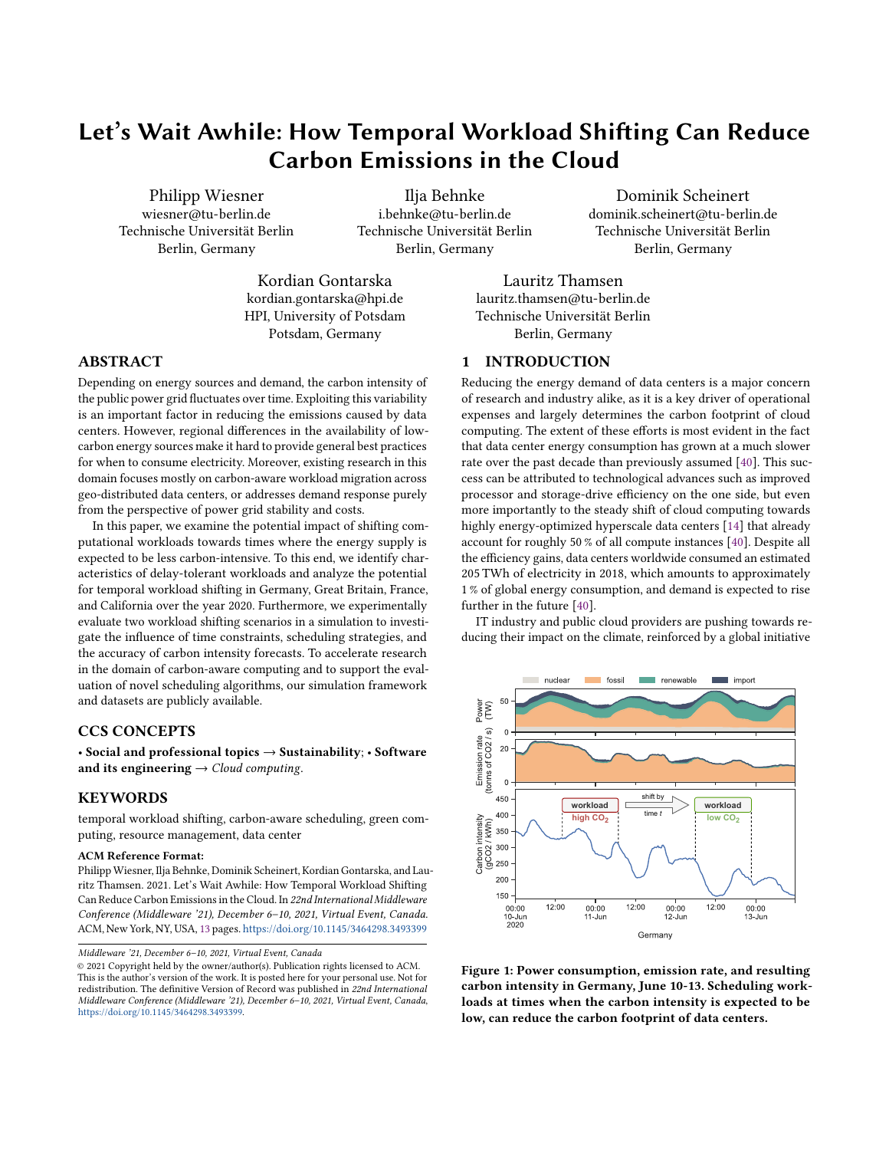

Figure 5: Daily mean carbon intensity of Germany, Great Britain, France and California by month. Since all regions are located in the northern hemisphere and therefore exhibit similar seasonal patterns, we use the same cyclic colormap to illustrate the differences between winter (solid lines) and summer months (dashed lines).

consider cross-regional flows of energy. The most precise method for this so called consumption-based accounting is to calculate the carbon intensity of all neighboring regions and to apply flow tracing in order to resemble the underlying physics of the power grid [57]. Since detailed energy generation data is not available for many regions and cross-border flows usually do not amount to a large fraction of the available power, we use a simplified method and only consider the yearly average of the neighboring regions to weight their contribution.

We define the average carbon intensity of a region  $C_t$  at time t by weighting the power generation  $P_{q,t}$  of each energy source  $s \in S$  by its respective carbon intensity  $c_s$ . As explained above, we additionally weight each energy import from neighboring regions  $r \in R$  by the average carbon intensity of that region  $c_r$ . The resulting sum is divided by the sum of all generated and imported electricity:

$$
C_{t} = \frac{\sum_{s=1}^{S} P_{s,t} c_{s} + \sum_{r=1}^{R} P_{r,t} c_{r}}{\sum_{s=1}^{S} P_{s,t} + \sum_{r=1}^{R} P_{r,t}}
$$

For our analysis we consider the entire year 2020. The electricity production and cross-border flow data for all three European regions were retrieved via the ENTSO-E (European Network of Transmission System Operators for Electricity) API<sup>4</sup>. Data from the California region were retrieved via CAISO (California Independent System Operator)<sup>5</sup>. All data were adjusted to a common resolution of 30 minutes. For electricity production, we mapped the returned energy sources to the categories stated in Table 1. For cross-border flows, we used the yearly average carbon intensity of neighboring regions for 2020 [10].

#### 3.4 Average vs. Marginal Carbon Intensity

Our methodology calculates the average carbon intensity of regions, namely their current electricity mix weighted by the carbon intensity of energy sources. A signal that captures the cause-effect relationship of load shifting even better is the marginal carbon intensity, which describes the carbon emissions of the energy source responsible for generating additionally requested electricity at given point in time.

Unfortunately, in practice it is very hard to identify this marginal energy source, as the decision of a power supplier to scale their production up or down is not centralized but usually incentivized via electricity prices. Additionally, this decision depends on a variety of further factors such as forecasted weather and demand as well as expected surplus or demand in neighboring regions. For this reason, there exist only probability-based methods to compute marginal carbon intensity whose results fluctuate depending on the region and time of day [33]. After reviewing marginal data provided by electricityMap, we consider marginal carbon intensity to be no practical signal for demand management at this point due to high uncertainties. This assumption is supported by Google's CICS, that also uses the average carbon intensity as an indicator for their load shifting efforts.

# 4 ANALYSIS OF THEORETICAL POTENTIAL

We examine the energy mix and resulting carbon intensity over time in Germany, Great Britain, France, and California throughout the year 2020. This section aims at identifying patterns in this data that can be exploited by temporal workloads shifting.

#### 4.1 Region Analysis

In the following, the properties and peculiarities of the energy mix in the four selected regions as well as the statistical moments of their resulting carbon intensity are described. The distribution of carbon intensity values is displayed in Figure 4. The average carbon intensity throughout a day is presented in Figure 5 for each month and region.

4.1.1 Germany. Due to the wide adoption of wind (24.7 %) and solar power (8.3 %), one third of the German electricity production comes from highly variable, renewable sources. On the other hand, the remaining electricity mix is disproportionately dirty, as it is largely generated by burning lignite and black coal (22.8 %) as well as fossil gas (11.3 %). This discrepancy translates into both, the highest mean carbon intensity of 311.4 gCO<sub>2</sub>/kWh across all observed regions, as well as highest variation of values, reaching from 100.7 to 593.1  $\rm gCO_2/kWh.$  The mean daily carbon intensity varies greatly over the year with a difference of up to 100 %. However, the inner-daily variance remains approximately equal regardless of the season. We observe that energy is usually the cleanest during mid day, when most solar energy is available, and around 2 am, when

<sup>4</sup>[https://transparency.entsoe.eu,](https://transparency.entsoe.eu) accessed 2021-09-21

<sup>5</sup>[http://www.caiso.com,](http://www.caiso.com) accessed 2021-09-21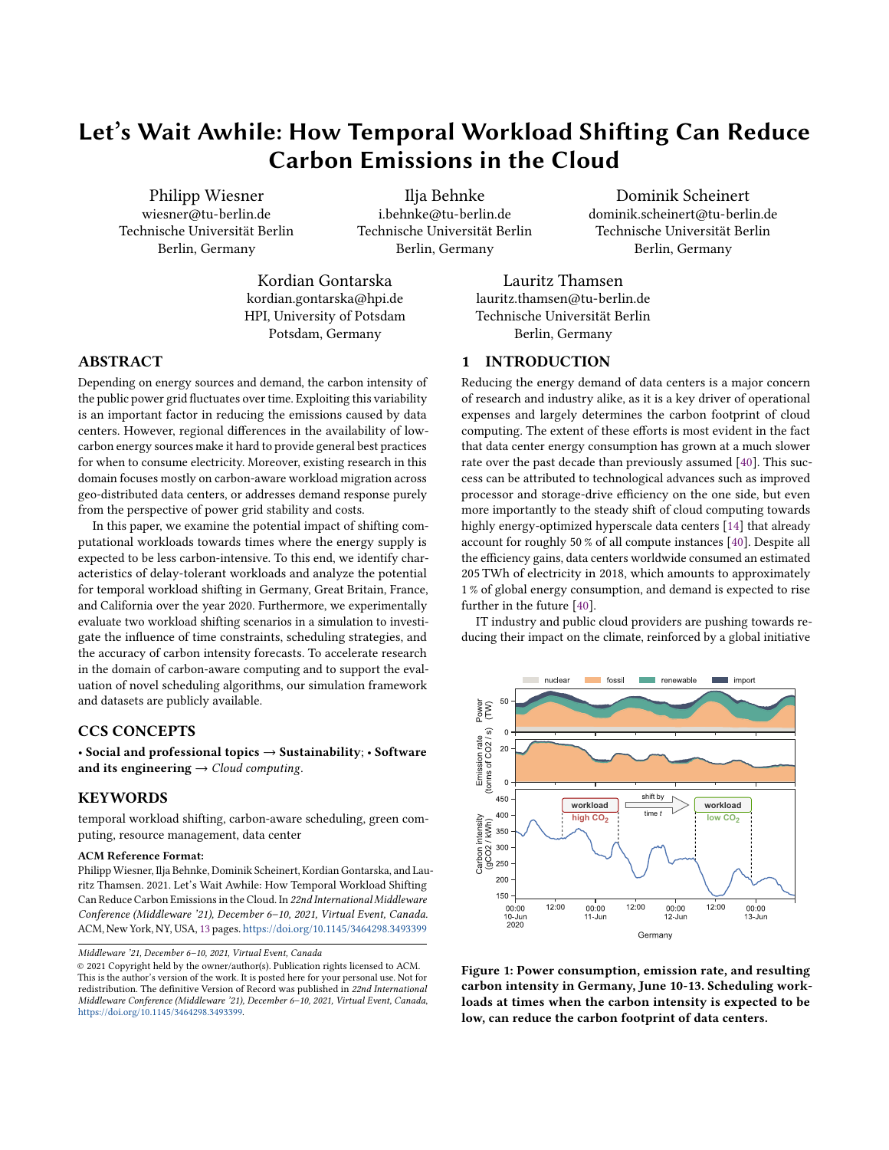electricity demand is generally low and fossil fuel power plants are throttled back.

4.1.2 Great Britain. Great Britain relies mainly on burning fossil gas (37.4 %), wind power (20.6 %) and nuclear energy (18.4 %). It has a comparably diverse energy mix and only roughly 8.7 % of the consumed energy is imported. The mean carbon intensity of  $211.9\,\mathrm{gCO}_2/\mathrm{kWh}$  and standard deviation are considerably lower than in Germany and stays approximately equal over the year. The inner-daily variance is higher in the winter months. Like in Germany, the carbon intensity is the cleanest during night time. However, due to the lower deployment of solar energy, carbon intensity does not drop as significantly during daylight hours.

4.1.3 France. The French energy mix comprises 69.0 % of nuclear power and 8.6 % of hydropower. Both of these energy sources are characterized by very low carbon emissions and low variability. Only a little more than 10 % of the electricity stems from variable renewable sources like wind and sun. As a result, the French power grid's carbon intensity is not only very low throughout the entire year, with a mean of  $56.3 \,\mathrm{gCO}_2/\mathrm{kWh}$ , but also very steady. Likewise, the inner-daily variance is comparably low.

4.1.4 California. California generates 13.4 % of its total electricity from solar power - in the period between 8 am and 4 pm even 30.9 %. On the other hand, one third of the electricity comes from fossil gas and more than one quarter of the energy is imported from neighbouring states that have a comparably dirty energy mix. As a result the mean carbon intensity of 279.7  $\rm gCO_2/kWh$ is almost as high as in Germany, although the range of values is more comparable to Great Britain. Nevertheless, Figure 5 shows that California has very different characteristics than these regions. Because of the large amount of solar energy, the length of the low carbon intensity window during the day is strongly correlated with the number of hours of sunshine in a given month. The mean carbon intensity is generally lower in the summer months than in the winter months.

## 4.2 Weekly Patterns

As some non-urgent workloads can be postponed by multiple days, we first observe weekly seasonal patterns that can be exploited as shown in Figure 6. We observe that the daily carbon intensity behaves similar during workdays but has a clear drop during weekends. For example, carbon intensity of an average workday in Germany is 328.7 gCO<sub>2</sub>/kWh, the average value during weekends is only 243.7  $\rm gCO_2/kWh$ , which is a decrease of 25.9 %. Likewise, we can observe decreased carbon intensity on weekends in Great Britain (20.7 %), France (22.2 %), and California (6.2 %).

This drop is caused by the decreased power demand on weekends which electricity providers respond to by mainly reducing the amount of power produced by fossil fuels. For instance, on average Germany produces 28.7 TW of energy on workdays and only 21.2 TW on weekends. The fact that electricity is greener on weekends across all observed regions suggests that shifting load to weekends is a promising approach in general. However, as stated above, it is limited to workloads with relaxed time constraints.



Figure 6: Mean carbon intensity during a week. The confidence interval describes the 95th percentile. Highlighted in gray are the 24 hours with lowest carbon intensity, which predominantly fall on the weekend across all regions.

## 4.3 Best Times of Day for Shifting

To identify the most promising times of day for shifting workloads, we define the shifting potential  $p(t, W)$  at time  $t$  as follows:

$$
p(t, W) = C_t - \min_{\forall t' \in W} C_{t'}
$$

where *W* describes the forecast window, namely the set of carbon intensity data points following or preceding  $t$ . Intuitively, this function describes by how much the carbon intensity could theoretically be reduced when shifting a short-running workload at time  $t$  for up to  $W$  into the future or past. Shifting into the "past" is of course only possible for workloads that are scheduled for future execution (see Section 2.2). The carbon intensity of regions does usually not change rapidly, nor is the signal very noisy. This is why searching for the minimum value is a suitable metric here, as the chance of optimizing for negative spikes in the signal noise is very low. The presented metric only considers single data points, in other words workloads of up to 30 minutes of length, and assumes we have perfect forecast accuracy.

Figure 7 displays the shifting potential of all regions aggregated by the time of day throughout the year for four different windows: Shifting into the future and past by a maximum of two or eight hours. When considering the first row, namely shifts of up to two hours in the future, most regions exhibit little potential. An exception is California where there is a considerable shifting potential before sunrise, when carbon intensity usually drops heavily. For example, at 44 % of the days in 2020, the carbon intensity of workloads scheduled at 6 am could be reduced by more than 80 gCO<sub>2</sub>/kWh if instead scheduled between 6 am and 8 am. Scheduled workloads can also be shifted in the opposite direction, as presented in the second row. Again, California shows the highest potential by shifting load from after to before sunset.

It becomes apparent that with bigger forecast window size the potential for improvement increases substantially. However, the optimal times for shifting differs highly in the observed regions. In Germany, we observe two times of the day that show potential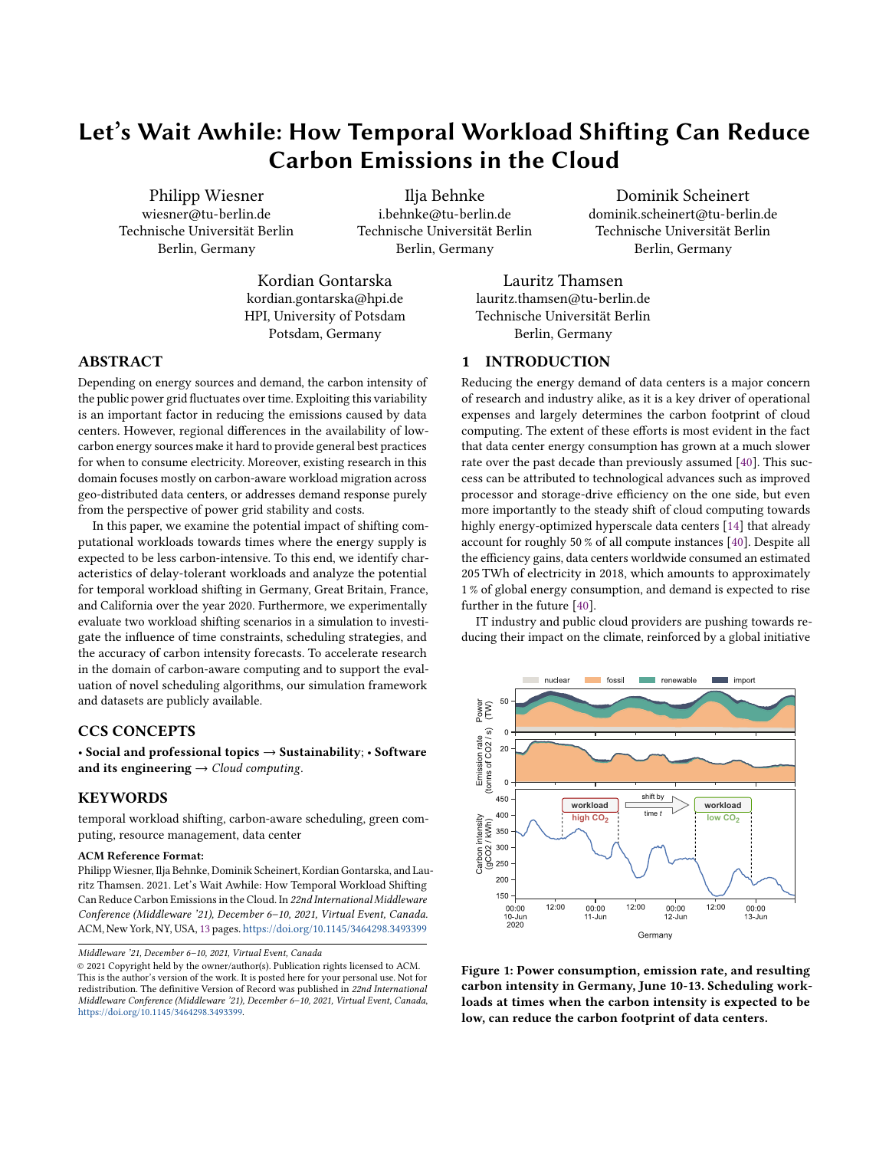

Figure 7: Potential for shifting workloads in the future (+) or past (-) at different times of the day and at two exemplary flexibility windows; 2 hours and 8 hours. For instance, the plot in column 1, row 3 describes the potential of shifting workloads in Germany by up to 8 hours into the future: The carbon intensity of 14 % of the workloads scheduled at 5 am could be reduced by at least  $120\,\mathrm{gCO}_2/\mathrm{kWh}$  when instead scheduled between 5 am and 1 pm.

for load shifting at 8 hour windows: In the morning hours around 7 am before sunrise and around 6 pm, escaping the high-carbon evening hours. Nevertheless, due to the high variability of energy sources in Germany, such larger forecasts offer a certain potential at virtually any time of day.

The potential for shifting workloads into the future during morning hours is considerably smaller in Great Britain, but comparably big in the evening. In general, we can observe that there is almost no potential in both directions during night time. As expected, there is barely any load shifting potential in France, even at large forecast windows. This is due to the already low carbon intensity and low variability of values during a day. In California, the potential for large forecast windows is very high during nighttime, due to the steep drop in carbon intensity during daylight hours. Consequently, workloads that are already scheduled during daytime, show little to no potential.

The key finding from this analysis is that the potential for load shifting into the future, which can be exploited by all shiftable workloads, is generally highest in the early morning hours for countries with a lot of solar power and in the evening hours for countries that throttle their fossil fuel production at night. Load shifting into the "past", which can only be exploited by future scheduled workloads, holds just as much potential and can in most cases complement load shifting into the future to attain potential throughout most parts of the day.

#### 5 EXPERIMENTAL EVALUATION

So far, we have analyzed the theoretical potential of temporal workload shifting. In this section, we evaluate two realistic load shifting scenarios experimentally, examining the effects of time constraints, scheduling strategies, and forecast errors. Since openly available cloud computing data sets that contain information about the delaytolerance of workloads are not available, we created two scenarios ourselves, featuring (1) short-running, periodically scheduled jobs, and (2) long-running machine learning trainings based on the StyleGAN2-ADA [28] paper. The experiments are simulated using LEAF [62], an IT infrastructure simulator that enables high-level modeling of energy consumption. The experimental setup comprises a single node, representing a data center, on which the jobs are scheduled.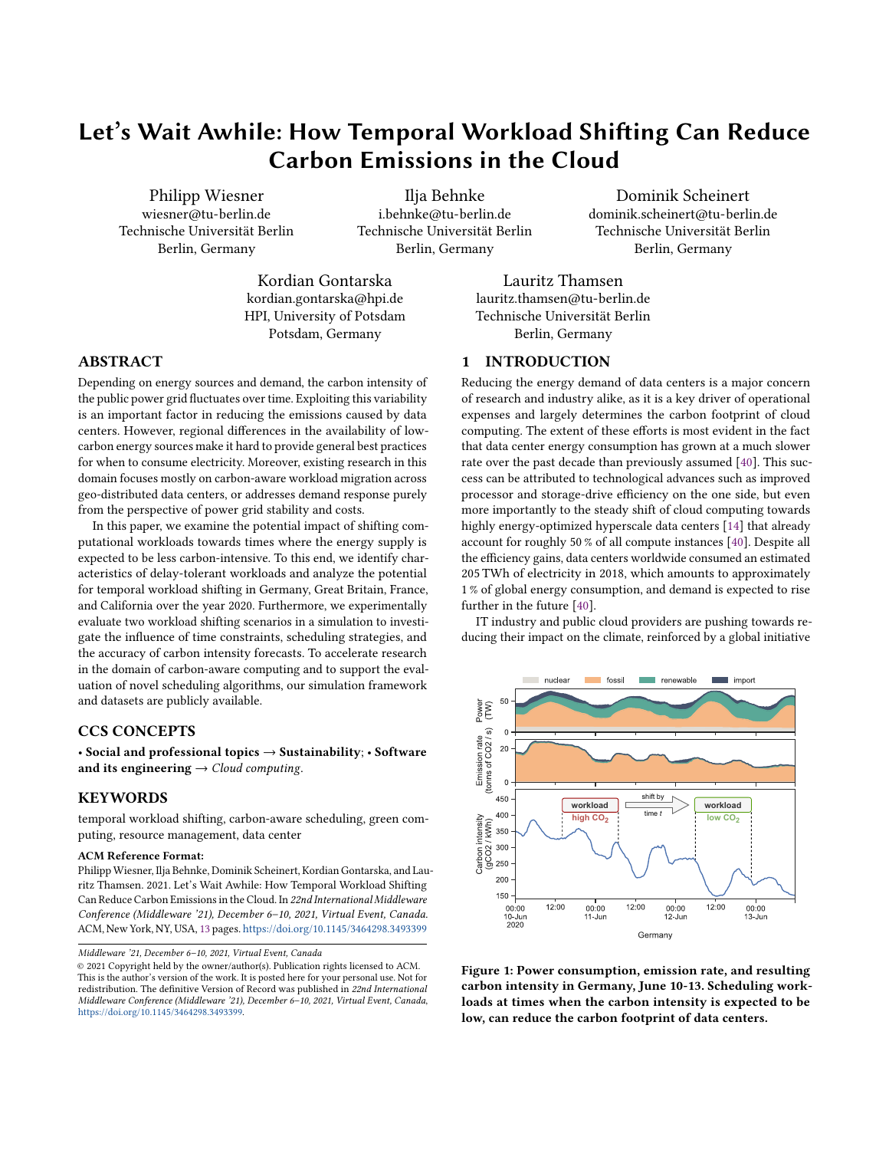## 5.1 Scenario I: Nightly Jobs

In the first scenario, we simulate a periodically scheduled job, such as a nightly build, integration test, or database migration. We assume these jobs to be delay-tolerant in most cases, meaning it does not make a difference to the user when exactly the job is executed, as long as it is outside of working and high-traffic hours. The aim of this experiment is to investigate the carbon saving effect of increasing the scheduling flexibility.

5.1.1 Experimental Setup. We simulate 366 periodically scheduled jobs, one for each day of the entire year 2020, with a step size of 30 minutes. Likewise, each job takes 30 minutes and is not interruptible. In the baseline experiments, jobs are scheduled to always run at 1 am. For every region, we run 16 more experiments, each increasing the time window for scheduling jobs by 30 more minutes in both directions. For example, the first shifting experiment executes all jobs between 12:30 and 1:30 am, the second between 12 and 2 am, and the last experiment schedules jobs between 5 pm and 9 am.

Since openly available, ready-to-use solutions for forecasting grid carbon intensity across different regions are not available (see Section 6.3), we added noise to the observed carbon intensity timeline in order to simulate inaccurate forecasting results. We calculated a mean absolute error of 10 for the 48-hour carbon intensity forecast by National Grid ESO [8] for 2020, which is roughly 5 % of its yearly mean. Based on this, we ran all experiments by applying normally distributed noise with  $\sigma = 0.05$  times the yearly mean of the regional carbon intensity. The noise is independent of the forecast length. Since predictions in this scenario are at most 16 hours, this error can be considered an upper limit. Additionally, we repeated all experiments with optimal forecasts to investigate on the impact of errors. All experiments with forecast errors were repeated ten times and averaged.



Figure 8: Average grid carbon intensity at job execution time. With increasing flexibility, the achieved carbon savings increase as well. The forecast error is 5 % in all experiments.



Figure 9: Number of jobs by allocated time slot for ±8 hour window size and 5 % forecast error. Germany and California shift heavily into morning hours, while Great Britain and France distribute jobs more evenly during the night.

5.1.2 Results. Figure 8 displays the experimental results. We can observe that relative to the baseline, carbon savings can be achieved across all regions. The effects differ significantly depending on the region and scheduling flexibility. For example, in France and Great Britain we can already achieve savings of 3.0 % and 4.3 %, respectively, when increasing the flexibility window by only  $\pm 2$  hours. However, when the window is further enlarged, little additional savings are observed. For example, in France, the average grid carbon intensity used for powering the jobs could only be reduced by 4.1 % when considering the  $\pm 8$  hour window at 5 % forecast error. In Great Britain, we managed to save 7.4 % of carbon over the year with these parameters.

Ai flexibility windows of up to  $\pm 4$  hours, the resulting emissions savings for Germany and California are almost negligible. However, we observe a steep increase for windows starting at  $\pm 5$  hours Even when considering forecast errors, the German scenario emits 11.2 % less carbon for the ±8 hour experiment. The forecast error has a considerable impact on this result; carbon savings were more than 2 percentage points higher with optimal forecasting. In California, the increased flexibility accounts for 13.1 % savings for the  $\pm 6$  hour window and 33.7 % for the ±8 hour window under forecasts with error. The impact of errors is less significant here; optimal forecasting only improves these results by 1-1.5 percentage points.

5.1.3 Discussion. The results are consistent with our analysis on the shifting potential at different times of the day, see Figure 7. In France and Great Britain shifting potential is comparably low at night, because the mean carbon intensity at this time is already at its minimum. In contrast, in Germany and California, the potential grows significantly once the scheduler has the ability to shift workloads to the early morning or late evening hours, where they can benefit from solar energy generated during the day. This assumption is backed by Figure 9, which shows the number of jobs that were allocated to certain time slots in different regions.

For California, the case is simple: Scheduling "nightly" jobs to after sunrise significantly reduces their carbon emissions. Also in the other regions carbon-aware scheduling can reduce emissions by more than 10 %. This is not insignificant, given that the proposed shifting strategy does not have any negative impact on data center operations. From a service provider perspective, these findings can influence the design of future service-level agreements (SLAs)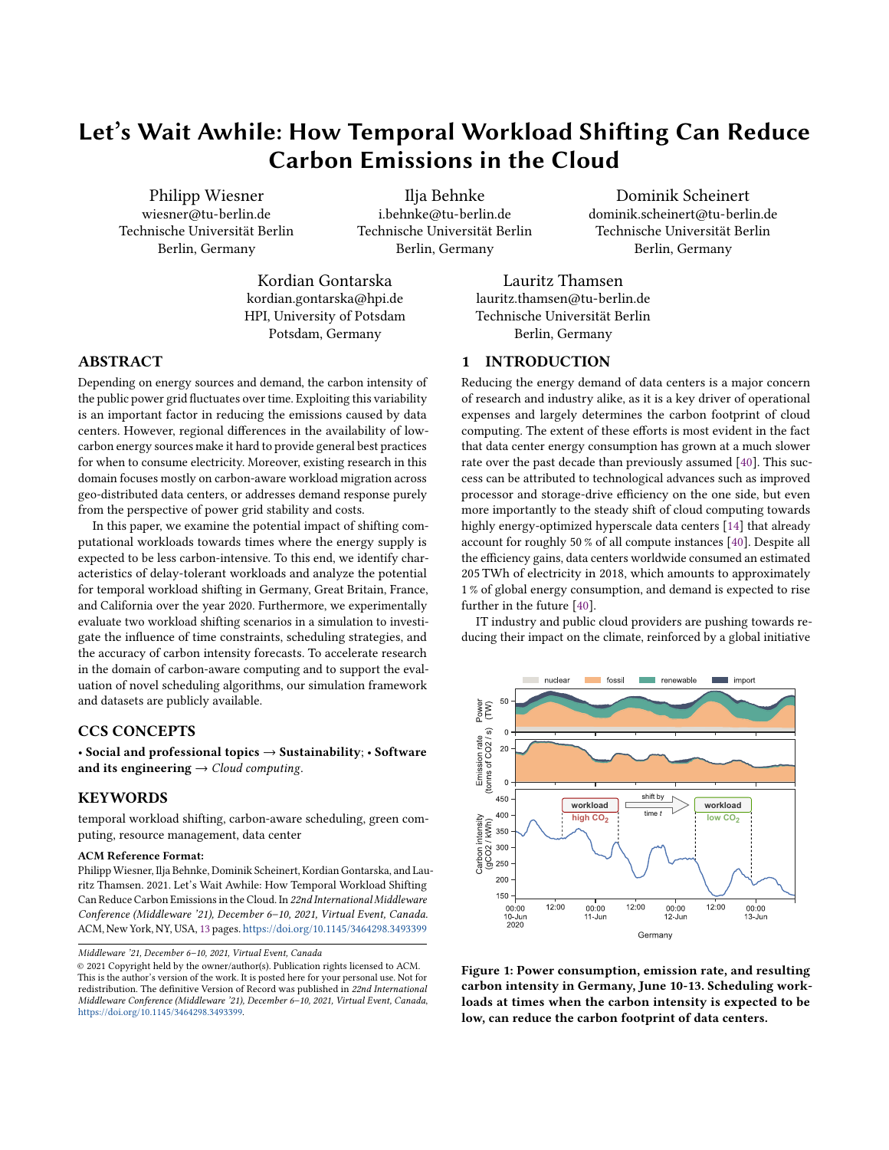and, hence, middleware systems that act within their boundraries. Providing time windows instead of fixed points in time for service execution appear to be easy-to-implement measures for reducing the carbon footprint of cloud services.

# 5.2 Scenario II: Machine Learning Project

The second scenario investigates the impact of different workload shifting strategies on a large machine learning project comprising a variety of different jobs. The scenario is based on the energy consumption statistics published for transparency reasons with a recent paper by NVIDIA Research introducing the StyleGAN2-ADA [28] model. The paper has received attention not only for its novelty in training generative adversarial networks, but also because the authors required 325 MWh of energy in the process of doing their research, suggesting large potential for carbon savings.

5.2.1 Experimental Setup. The authors of [28] state that 3387 machine learning jobs were executed for creating the paper, worth 145.76 GPU years. Their jobs usually run on eight GPUs, hence, an average job takes almost two days. In our scenario we assume that all jobs are scheduled ad hoc and randomly distributed across all 262 workdays of 2020 by sampling from a multinomial distribution. Each jobs is assigned a random start time during core working hours (Monday to Friday, 9 am to 5 pm). Job durations are evenly distributed between four hours and four days, resulting the same amount of GPU years as in the original project. Furthermore, we assume that job durations are known upfront accurate to 30 minutes, which is the simulation step size.

Our baseline experiment starts all jobs right when they are issued. We evaluate the potential of workload shifting in this scenario based on two time constraints:

- Next Workday If jobs finish during non-working hours, they can be shifted as long as they finish before the next working day at 9 am. This allows the scheduler to take advantage of jobs that would otherwise be finished during the night or weekend without interfering with the workflow of researchers. In our scenario, this time constraint results in 20.4 % of jobs that are not shiftable because they end during working hours, 51.2 % are shiftable until the next morning and 28.4 % are shiftable over the weekend.
- Semi-Weekly In practice, the individual results are often not required directly at 9 am the next day, but are evaluated in larger batches. If the time where results are actually required will be provided by users, the flexibility window for scheduling and, hence, saving potential can increase substantially. To represent this circumstance in a simple way, we assume in this time constraint that machine learning results are evaluated only twice a week. Concretely, all jobs can be shifted until the next Monday or Thursday at 9 am.

Furthermore, we want to investigate the potential benefits of exploiting incorruptible jobs, like machine learning trainings, by evaluating two scheduling strategies:

Interrupting The scheduler searches for the individual 30 minute intervals with the lowest carbon intensity and splits the job execution among these intervals.

Non-Interrupting The scheduler searches for the coherent time window with the lowest average carbon intensity and does not split the job execution.

We simulate all combinations of time constraints and scheduling strategies for each country, with a 5 % forecast error as described in Section 5.1.1.

5.2.2 Results. The carbon savings achieved by the experiments relative to the respective region's baseline experiment are depicted in Figure 10. When considering the Next Workday constraint, the Non-Interrupting scheduling managed to reduced the project's carbon emissions by 2.5 % to 6.3 %, while the Interrupting scheduling achieved reductions of 5.7 % to 8.5 %. For the Semi-Weekly constraint, Non-Interrupting scheduling saved 6.1 % to 14.4 % and Interrupting scheduling 13.3 % to 18.9 % of  $CO<sub>2</sub>$  emissions.

Experiments that make use of the interruptibility of machine learning jobs are improving the achieved carbon savings by 24.2 to 36.6 % for Germany, Great Britain, and France, and even by 131.2 % for California. Figure 11 shows the number of active jobs during an example period, demonstrating how Interrupting scheduling better exploits the daily fluctuation in carbon intensity than Non-Interrupting scheduling.

The additional flexibility enabled by semi-weekly scheduling causes the carbon savings to at least double across all regions,



Figure 10: Carbon emission savings for different scheduling constraints and strategies by region. All experiments were simulated with 5 % forecast error.



Figure 11: Number of active jobs over time for different scheduling strategies compared to the current carbon intensity. Data is from the California region, June 4-7.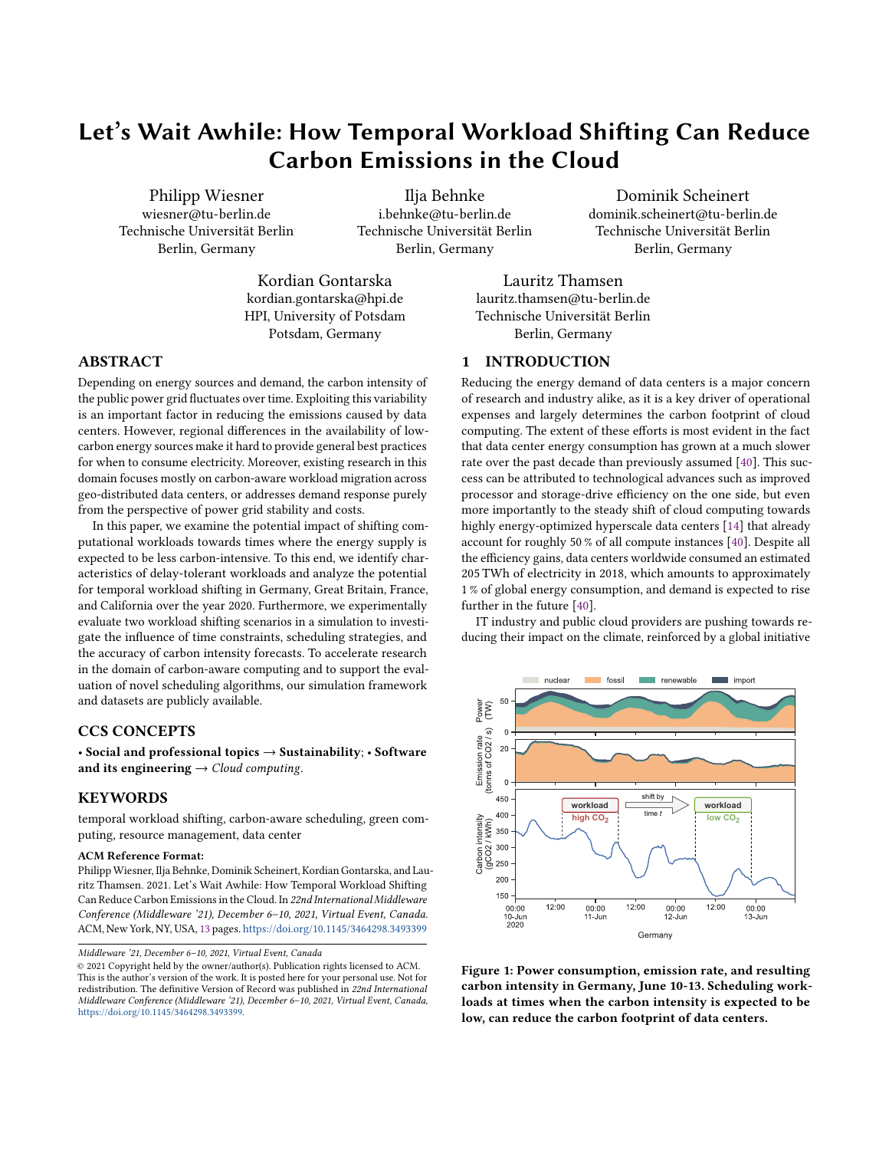

Figure 12: Average emission rates caused by different scheduling scenarios during an average week. Gray dashed lines represent the deadlines of when jobs are supposed to be finished at the two different time constraints.

compared to experiments subject to the Next Workday constraint. Figure 12 depicts how semi-weekly constraint allows the scheduler to shift even more workload towards the weekend to avoid times of high carbon intensity. Moreover, also in the Monday to Thursday period, the emission rates are significantly lower than under the Next Workday constraint.

Figure 13 displays the effect of 5 % and 10 % forecast errors on the Next Workday constraint scenario. While the savings for Non-Interrupting scheduling were almost the same independently from the applied errors, the Non-Interrupting scheduling highly benefits from low forecast errors. Findings for the Semi-Weekly scenario were equivalent.

5.2.3 Discussion. The experiments support our findings from Section 4: Shifting workloads towards nights and weekends, is a meaningful approach to consume cleaner energy. Even under time constraints that are not interfering with regular working hours, carbon savings of around 5 % are possible. With more relaxed time constraints, results improve substantially. In practice this could be implemented by letting users define the date and time until which results are actually required.



Figure 13: Influence of different forecast errors on carbon savings in the Next Workday constraint scenario.

Middleware '21, December 6–10, 2021, Virtual Event, Canada Philipp Wiesner, Ilja Behnke, Dominik Scheinert, Kordian Gontarska, and Lauritz Thamsen

Exploiting the interruptibility of workloads, proved to be an effective strategy to further reduce emissions. Future PaaS (Platform as a Service) and middleware systems should consider using snapshots not only for fault tolerance and possible evictions, but also for carbon-aware temporal load shifting. Forecasts with error had almost no impact on the results of the Non-Interrupting strategy but considerable impact on Interrupting scheduling. This is because Non-Interrupting scheduling optimizes for the lowest mean carbon intensity over entire intervals, and therefore is especially robust against noise in the forecasts. Interrupting scheduling is more susceptible to optimize for negative spikes, however, even with 10 % forecast errors, it always outperforms Non-Interrupting scheduling.

To conclude, we observe that experiments exploiting the interruptibility of jobs at semi-weekly scheduling are the most successful. Since, according to the data from [28], a job consumes 2036 W of power, in absolute numbers such a scheduling would have reduced the carbon emissions of the machine learning project by 8.9 t if executed in Germany and 6.3 t if executed in California or Great Britain. Although France has a very low mean carbon intensity already, savings of 1.2 t were achieved. For comparison, the per capita emissions in Germany and Great Britain in 2019 were 8.4 t and 5.5 t, respectively [50].

#### 5.3 Limitations

In our experiments, we did not consider any resource constraints, such as the available computational capacity at a given time. While this is a reasonable assumption for Scenario I, in Scenario II there probably was a maximum number of GPUs available to the team. However, the number of active jobs in the scheduling experiments did never exceed the maximum number of active jobs of the baseline experiment by more than 42 % (64 compared to 45), which suggests that no unrealistic consolidation of workload took place.

Furthermore, forecast errors were simulated by applying uniform random noise on the actually observed carbon intensity. In reality, however, prediction errors are not uniform and also correlated. Errors grow with increasing forecast length, as well as during times with high variability such as daylight hours. Realistic forecasts may over- or underestimate the actual carbon intensity for multiple consecutive timestamps when relying, for example, on faulty weather forecasts. Because of this, the validity of our forecast error analyses are limited. A more thorough analysis applying actual forecasts in different regions would be necessary to answer important questions such as how good a forecast should be to actually request a rescheduling.

#### 5.4 Implications

This section summarizes implications and recommendations for the future design of services, schedulers, and middleware that emerge from our evaluation.

5.4.1 Cloud and Service Providers. To exploit fluctuations in carbon intensity, providers should generally encourage users to design their workloads to be temporally flexible and/or interruptible and to declare them as such. For example, preemtive VMs (also marketed as Spot VMs/Instances) are already available across many cloud providers, offering resources at a low cost with the goal to shape load in a way beneficial to the cloud operator. As carbon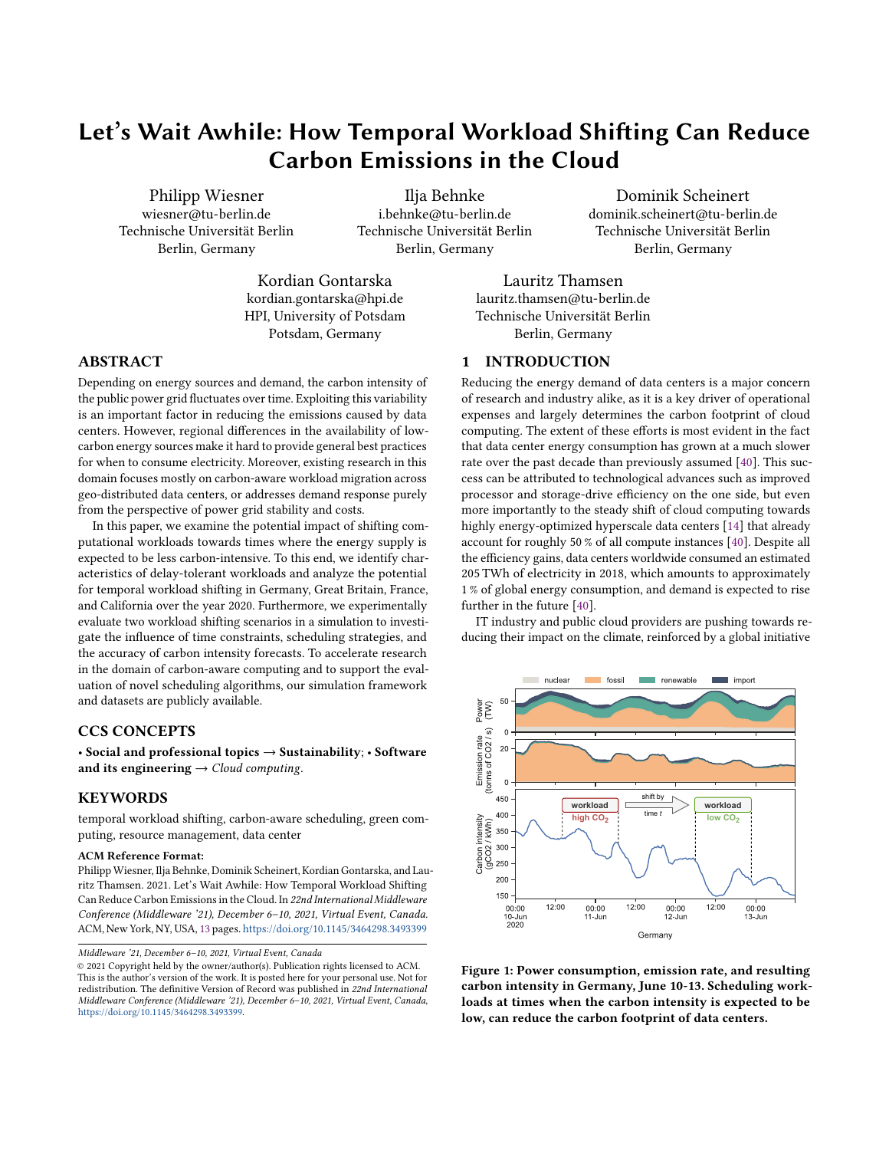pricing mechanisms may soon account for a considerable fraction of electricity costs [4], this approach can also become profitable for carbon-aware load shaping. However, as carbon intensity characteristics and carbon pricing mechanisms vary highly from region to region, the usefulness may be limited to certain locations and has to be re-evaluated on a regular basis.

Besides direct financial incentives, service providers can also incorporate knowledge about carbon intensity patterns and the associated costs into their SLA design. For example, providing execution time windows (e.g. nightly) instead of exact times (e.g. every day at 1:00 am") for certain services increases the temporal flexibility of workloads and, hence, the carbon saving potential. Again, the data center's region plays a major role in the potential savings and has to be considered.

5.4.2 Schedulers and Middleware. Qualitative forecasts of carbon intensity and workloads are a core component of any carbon-aware scheduler. Luckily, short-term carbon intensity forecasts can often be predicted with high accuracy [7, 33]; the same applies to many data center workloads, for example, in the domain of distributed stream processing [23]. Besides, our research shows that the performance of carbon-aware schedulers highly depends on additional information about the workloads such as their temporal constraints, expected duration, and interruptibility.

Middleware will play an important role in providing this information to schedulers. On the one hand, it can offer interfaces that allow applications to conveniently declare the temporal constraints and further workload properties programatically. On the other hand, future middleware can also feature automatic detection mechanisms for certain characteristics. For instance, a middleware system could profile the time required to stop and restart a workload and automatically label it as interruptible or non-interruptible. Likewise, temporal constraints could be derived by middleware systems that, for example, know the dependency graph of tasks.

# 6 RELATED WORK

This section surveys related work in the field of renewable-aware workload scheduling, temporal workload shifting in the context of data center demand response, and grid carbon intensity forecasting.

#### 6.1 Renewable-Aware Scheduling

Shaping data center load based on the availability of renewable energy has been a research topic for more than a decade [2, 22, 55, 64], with a large fraction of the literature being from the early 2010s. However, most methods focus on the integration and utilization of on-site and off-side renewable energy installations [2, 3, 6, 17, 20, 21, 34, 36, 36, 64, 67] and only few consider the carbon intensity of energy consumed from the power grid [41, 48, 65, 66]. Many approaches optimize for green energy by utilizing geo-distributed load migration, which is especially promising if data centers are being located in different hemispheres and time zones. Free Lunch [2] and GreenWare [64] are prominent examples of methods that reduce the amount of "wasted" renewable energy produced on-site by distributing workload among data centers, for example by virtual machine migration based on weather conditions. Other approaches use geo-distributed workload shifting in order to directly consume energy with lower carbon intensity [41, 65, 66].

When considering renewable-aware scheduling within single data centers, the current literature focuses on the integration of renewable energy sources and does not consider the potential reduction of carbon intensity on the public grid. For example, Aksanli et al. [3] schedule workloads by utilizing short term prediction of solar and wind energy production. GreenSlot [67] schedules batch jobs that are executed in data centers with access to on-site solar energy generation by predicting the hourly availability of solar energy two days in advance. Similarly, further approaches for renewable-aware schedulers [20, 21, 36] and works that consider the problem from a modeling [34] or user [17] perspective, do not consider the carbon intensity of the power grids, neither do related surveys and reviews [29, 43, 54].

Although Cappiello et al. already identified temporal shifting as a strategy to reduce emissions in cloud applications in 2015 [9], the first and only work utilizing this technique to date is Google's CICS [48]. They proactively shape compute load based on current and predicted power grid conditions and achieve power consumption drops of 1-2 % at times with the highest carbon intensity. However, no information on the impact of CICS in different regions is provided.

## 6.2 Demand Response in Data Centers

Demand response and demand-side management describe the adjustment of power usage by end-consumers during times when the power grid is stressed to capacity. The goal of demand response is to reduce peak electricity demand and, hence, to increase the stability of the power grid. In practice, this is usually achieved by providing financial incentives to consumers [15]. From an operators perspective demand response programs are therefore mainly an opportunity to reduce costs, not emissions.

Data centers have been identified as a promising industry for demand response because they consume large amounts of energy while being flexible due to their automated nature [53]. An in depth field study of data center demand response by Lawrence Berkeley National Laboratories (LBNL) [19] concludes that postponing computational load is an important demand response strategy next to load migration, shutting down or idling IT equipment, adjusting cooling, and adjusting building properties like lighting. Several works have since investigated this flexibility [5, 30, 31, 58, 61] and have proposed solutions to exploit it [11–13, 16, 31, 63]. Existing literature also considers demand response in conjunction with local power generation [37] or focuses on directly forecasting energy flexibility [59].

Data center demand response is working towards adapting the power demand profile of data centers. However, current efforts focus on power grid stability and usually optimize for cost effectiveness in incentive-based or price-based scenarios. Contrarily, our aim is to evaluate the potential of temporal workload shifting in regards to carbon savings.

#### 6.3 Carbon Intensity Forecasts

In recent years, it has become increasingly popular to utilize carbon intensity forecasts to adaptively control power usage, for example in residential heating [45, 46, 60] or smart charging battery electric vehicles [26]. However, while there are plenty of long-term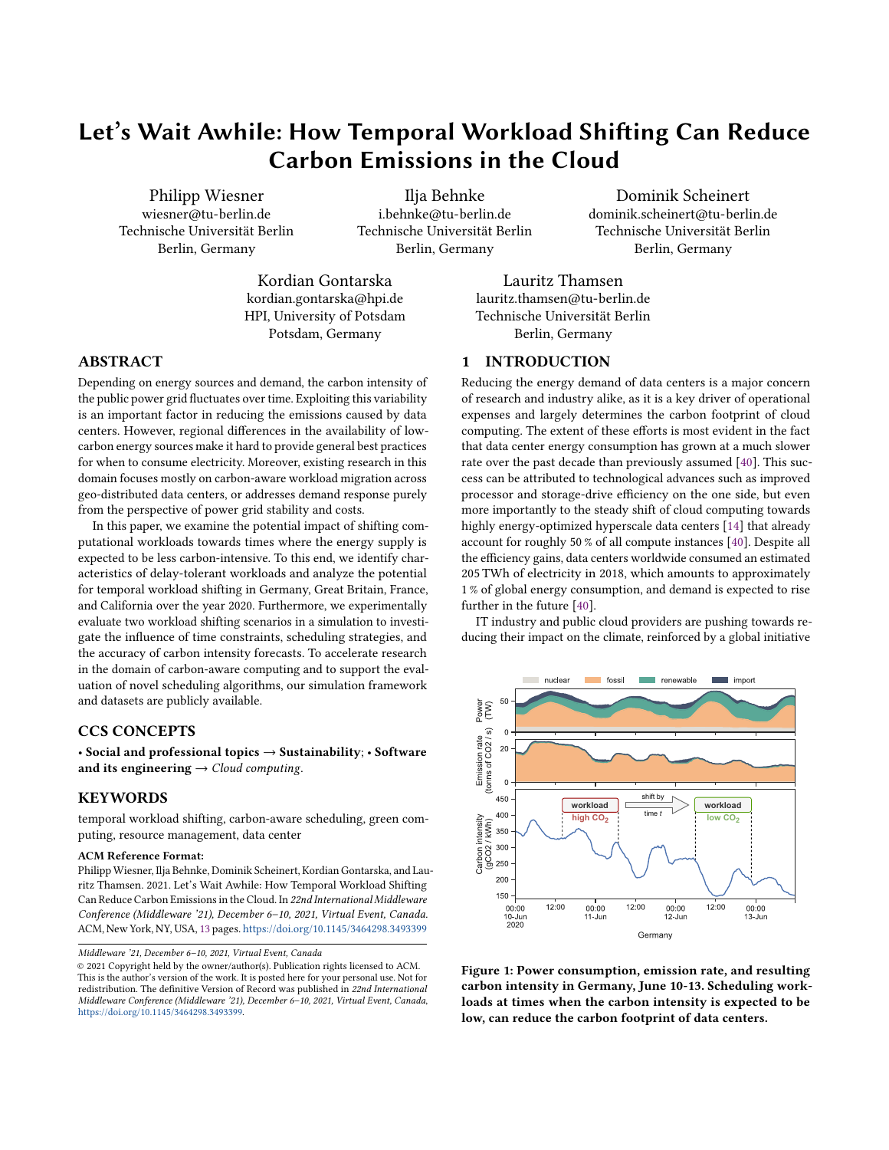Middleware '21, December 6–10, 2021, Virtual Event, Canada Philipp Wiesner, Ilja Behnke, Dominik Scheinert, Kordian Gontarska, and Lauritz Thamsen

forecasting models on CO2 emissions of countries or industrial sectors, comparably little research exists on predicting short-term grid carbon intensity.

The most prominent supplier of carbon intensity data is Tomorrow's electricityMap that also provides the data for CICS. While their methodologies on real-time consumption-based carbon accounting [57] as well as short-term carbon intensity forecasting for average and marginal emissions [33] are publicly available, their data is only to a certain degree. An open carbon intensity forecast is provided by the National Grid ESO [8], a power grid operator in Great Britain. Their so called Carbon Intensity API provides 96 hour forecasts for different regions in Great Britain based on a rolling-window linear regression model and uses a methodology for computing carbon intensity that is similar to ours. However, their forecasting model is not open source and relies on non-publicly available weather data, meaning it cannot be transferred to other regions. Lowry [38] uses autoregressive integrated moving average (ARIMA) and neural network models for day-ahead forecasting of grid carbon intensity in order to control heating, ventilation, and air conditioning systems. Lastly, Bodke et al. [7] use a decomposition approach and forecast the grid carbon intensity of regions within Europe via statistical methods.

# 7 CONCLUSION

This paper examines the potential of temporally shifting computational workloads in data centers with the goal to consume cleaner energy from the public power grid. We provide an overview on characteristics of shiftable workloads and analyze the regional carbon intensity of Germany, California, Great Britain, and France over the year 2020. Our findings suggest that short-term shifting potential is often high before sunrise in countries with a lot of solar power, and in the evening hours, because most countries throttle their fossil fuel power stations at night. Moreover, shifting delaytolerant workloads towards weekends can result in more than 20 % savings in most regions. The experimental evaluation supports our analytical findings and demonstrates that the highest savings can be achieved when relaxing time constraints and actively exploiting the interruptibility of workloads during scheduling. For example, shifting workloads whose results are not needed by the next working day can already reduce emissions by over 5 % across all regions.

Future work will address the development and evaluation of schedulers that take advantage of the findings in this paper. To this end, we hope that our simulator and published datasets will prove to be useful tools for exploring new approaches in this domain. In particular, we want to use them to research on the combination of temporal and geo-distributed scheduling, which has received little attention to date.

## ACKNOWLEDGMENTS

We would like to thank all Middleware reviewers for their valuable comments and suggestions. We also express our sincere thanks to Martin Schellenberger for his insights that helped to shape this work. This research was supported by the German Academic Exchange Service (DAAD) as ide3a and the German Ministry for Education and Research (BMBF) as BIFOLD (research grant 01IS18025A).

#### REFERENCES

- [1] Sameer Agarwal, Srikanth Kandula, Nicolas Bruno, Ming-Chuan Wu, Ion Stoica, and Jingren Zhou. 2012. Reoptimizing Data Parallel Computing. In Proceedings of the 9th USENIX Symposium on Networked Systems Design and Implementation (NSDI).
- [2] Sherif Akoush, Ripduman Sohan, Andrew Rice, Andrew W. Moore, and Andy Hopper. 2011. Free Lunch: Exploiting Renewable Energy for Computing. In 13th Workshop on Hot Topics in Operating Systems (HotOS XIII).
- [3] Baris Aksanli, Jagannathan Venkatesh, Liuyi Zhang, and Tajana Rosing. 2011. Utilizing Green Energy Prediction to Schedule Mixed Batch and Service Jobs in Data Centers. In Proceedings of the 4th Workshop on Power-Aware Computing and Systems (HotPower '11).
- [4] World Bank. 2020. State and Trends of Carbon Pricing 2020. Technical Report. Washington, DC: World Bank.
- Robert Basmadjian. 2019. Flexibility-Based Energy and Demand Management in Data Centers: A Case Study for Cloud Computing. Energies 12, 17 (2019).
- [6] Nicolas Beldiceanu, Bárbara Dumas Feris, P. Gravey, Sabbir Hasan, Claude Jard, Thomas Ledoux, Yunbo Li, Didier Lime, Gilles Madi Wamba, Jean-Marc Menaud, Pascal Morel, Michel Morvan, Marie-Laure Moulinard, Anne-Cécile Orgerie, Jean-Louis Pazat, Olivier Roux, and Ammar Sharaiha. 2017. Towards energyproportional Clouds partially powered by renewable energy. Computing 99  $(2017).$
- [7] Neeraj Bokde, Bo Tranberg, and Gorm Andresen. 2021. Short-term CO2 emissions forecasting based on decomposition approaches and its impact on electricity market scheduling. Applied Energy 281 (2021).
- [8] Alasdair R. W. Bruce, Lyndon Ruff, James Kelloway, Fraser MacMillan, and Alex Rogers. 2021. Carbon Intensity Forecast Methodology. Technical Report. National Grid ESO.
- [9] Cinzia Cappiello, Nguyen Thi Thao Ho, Barbara Pernici, Pierluigi Plebani, and Monica Vitali. 2016. CO2-Aware Adaptation Strategies for Cloud Applications. IEEE Transactions on Cloud Computing 4, 2 (2016).
- [10] Carbon Footprint Ltd 2020. Country Specific Electricity Grid Greenhouse Gas Emission Factors v1.4. Carbon Footprint Ltd.
- [11] Hao Chen, Michael C. Caramanis, and Ayse K. Coskun. 2014. The data center as a grid load stabilizer. In 2014 19th Asia and South Pacific Design Automation Conference (ASP-DAC).
- [12] T. Cioara, I. Anghel, Massimo Bertoncini, I. Salomie, D. Arnone, M. Mammina, T. H. Velivassaki, and M. Antal. 2018. Optimized flexibility management enacting Data Centres participation in Smart Demand Response programs. Future Gener. Comput. Syst. 78 (2018).
- [13] Tudor Cioara, Ionut Anghel, Ioan Salomie, Marcel Antal, Claudia Pop, Massimo Bertoncini, Diego Arnone, and Florin Pop. 2019. Exploiting data centres energy flexibility in smart cities: Business scenarios. Information Sciences 476 (2019).
- [14] Cisco. 2018. Cisco Global Cloud Index: Forecast and methodology (2016–2021). Technical Report. Cisco.
- [15] European Commission. 2013. Incorporing demand side flexibility, in particular demand response, in electricity markets. SWD (2013) 442 final.
- [16] Lisette Cupelli, Thomas Schütz, Pooyan Jahangiri, Marcus Fuchs, Antonello Monti, and Dirk Müller. 2018. Data Center Control Strategy for Participation in Demand Response Programs. IEEE Transactions on Industrial Informatics 14, 11 (2018).
- [17] C. Dupont, M. Sheikhalishahi, F. M. Facca, and F. Hermenier. 2015. An Energy Aware Application Controller for Optimizing Renewable Energy Consumption in Data Centres. In 2015 IEEE/ACM 8th International Conference on Utility and Cloud Computing (UCC).
- [18] Kurt B. Ferreira, Rolf Riesen, Patrick G. Bridges, Dorian C. Arnold, and Ron Brightwell. 2014. Accelerating incremental checkpointing for extreme-scale computing. Future Gener. Comput. Syst. 30 (2014).
- [19] Girish Ghatikar, Venkata Ganti, Nance Matson, and Mary Ann Piette. 2012. Demand Response Opportunities and Enabling Technologies for Data Centers: Findings From Field Studies. Technical Report. PG&E/SDG&E/CEC/LBNL.
- [20] Íñigo Goiri, William Katsak, Kien Le, Thu D. Nguyen, and Ricardo Bianchini. 2013. Parasol and GreenSwitch: Managing Datacenters Powered by Renewable Energy. SIGPLAN Not. 48, 4 (2013).
- [21] Íñigo Goiri, Kien Le, Thu D. Nguyen, Jordi Guitart, Jordi Torres, and Ricardo Bianchini. 2012. GreenHadoop: Leveraging Green Energy in Data-Processing Frameworks. In Proceedings of the 7th ACM European Conference on Computer Systems (EuroSys '12).
- [22] Í. Goiri, R. Beauchea, K. Le, T. D. Nguyen, M. E. Haque, J. Guitart, J. Torres, and R. Bianchini. 2011. GreenSlot: Scheduling energy consumption in green datacenters. In SC '11: Proceedings of 2011 International Conference for High Performance Computing, Networking, Storage and Analysis.
- [23] Kain Kordian Gontarska, Morgan Geldenhuys, Dominik Scheinert, Philipp Wiesner, Andreas Polze, and Lauritz Thamsen. 2021. Evaluation of Load Prediction Techniques for Distributed Stream Processing. In 9th IEEE International Conference on Cloud Engineering.